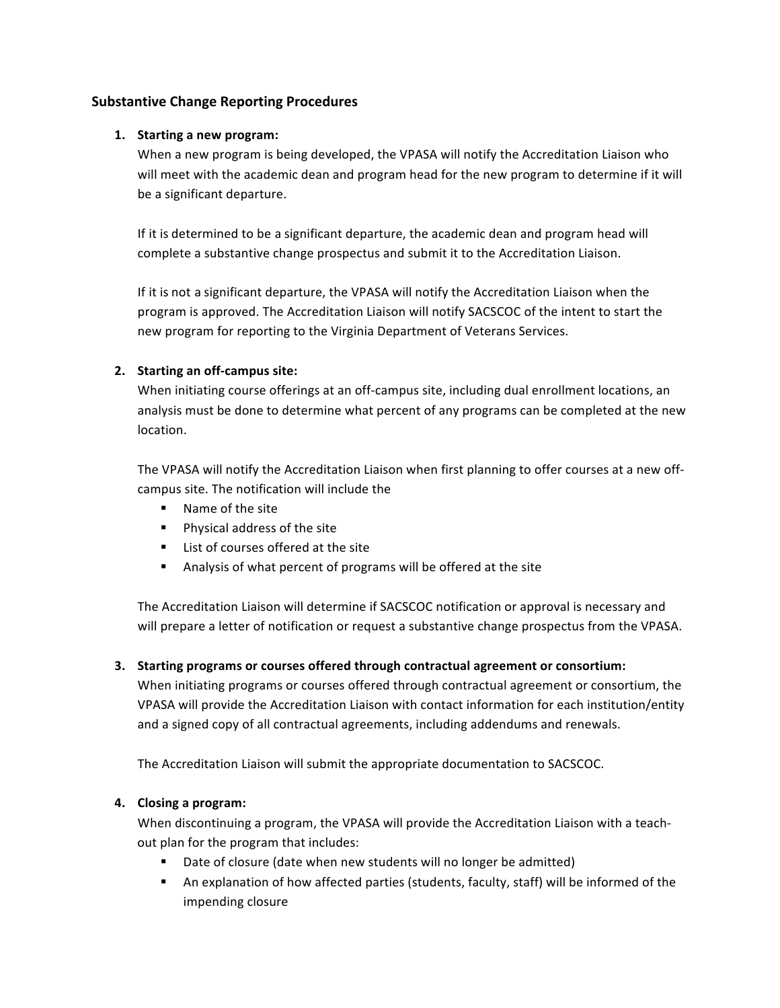# **Substantive Change Reporting Procedures**

## **1. Starting a new program:**

 When a new program is being developed, the VPASA will notify the Accreditation Liaison who will meet with the academic dean and program head for the new program to determine if it will be a significant departure.

complete a substantive change prospectus and submit it to the Accreditation Liaison. If it is determined to be a significant departure, the academic dean and program head will

If it is not a significant departure, the VPASA will notify the Accreditation Liaison when the program is approved. The Accreditation Liaison will notify SACSCOC of the intent to start the new program for reporting to the Virginia Department of Veterans Services.

## **2. Starting an off-campus site:**

When initiating course offerings at an off-campus site, including dual enrollment locations, an analysis must be done to determine what percent of any programs can be completed at the new location. 

The VPASA will notify the Accreditation Liaison when first planning to offer courses at a new offcampus site. The notification will include the

- Name of the site
- **•** Physical address of the site
- List of courses offered at the site
- Analysis of what percent of programs will be offered at the site

The Accreditation Liaison will determine if SACSCOC notification or approval is necessary and will prepare a letter of notification or request a substantive change prospectus from the VPASA.

## **3. Starting programs or courses offered through contractual agreement or consortium:**

 VPASA will provide the Accreditation Liaison with contact information for each institution/entity and a signed copy of all contractual agreements, including addendums and renewals. When initiating programs or courses offered through contractual agreement or consortium, the

 The Accreditation Liaison will submit the appropriate documentation to SACSCOC.

#### **4. Closing a program:**

 When discontinuing a program, the VPASA will provide the Accreditation Liaison with a teachout plan for the program that includes:

- **•** Date of closure (date when new students will no longer be admitted)
- **•** An explanation of how affected parties (students, faculty, staff) will be informed of the impending closure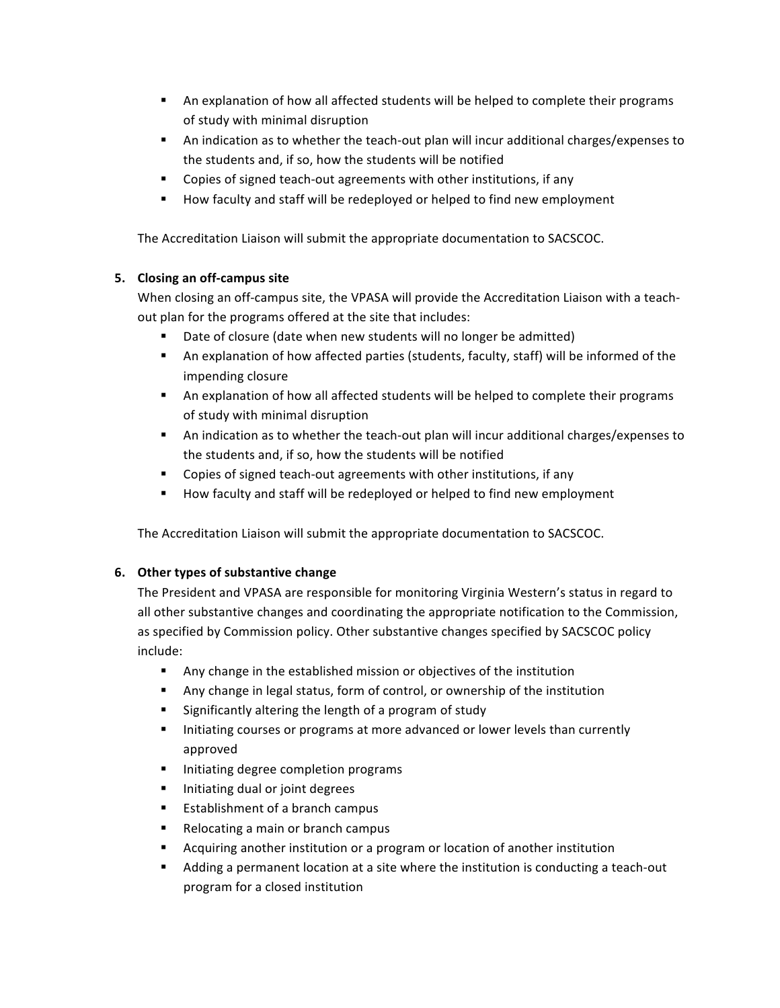- **•** An explanation of how all affected students will be helped to complete their programs of study with minimal disruption
- **•** An indication as to whether the teach-out plan will incur additional charges/expenses to the students and, if so, how the students will be notified
- **•** Copies of signed teach-out agreements with other institutions, if any
- **•** How faculty and staff will be redeployed or helped to find new employment

 The Accreditation Liaison will submit the appropriate documentation to SACSCOC.

## **5. Closing an off-campus site**

When closing an off-campus site, the VPASA will provide the Accreditation Liaison with a teachout plan for the programs offered at the site that includes:

- Date of closure (date when new students will no longer be admitted)
- **•** An explanation of how affected parties (students, faculty, staff) will be informed of the impending closure
- of study with minimal disruption • An explanation of how all affected students will be helped to complete their programs
- **•** An indication as to whether the teach-out plan will incur additional charges/expenses to the students and, if so, how the students will be notified
- **•** Copies of signed teach-out agreements with other institutions, if any
- How faculty and staff will be redeployed or helped to find new employment

 The Accreditation Liaison will submit the appropriate documentation to SACSCOC.

## **6. Other types of substantive change**

The President and VPASA are responsible for monitoring Virginia Western's status in regard to all other substantive changes and coordinating the appropriate notification to the Commission, as specified by Commission policy. Other substantive changes specified by SACSCOC policy include:

- **•** Any change in the established mission or objectives of the institution
- **•** Any change in legal status, form of control, or ownership of the institution
- **•** Significantly altering the length of a program of study
- **•** Initiating courses or programs at more advanced or lower levels than currently approved
- **•** Initiating degree completion programs
- **•** Initiating dual or joint degrees
- **•** Establishment of a branch campus
- **•** Relocating a main or branch campus
- **•** Acquiring another institution or a program or location of another institution
- Adding a permanent location at a site where the institution is conducting a teach-out program for a closed institution